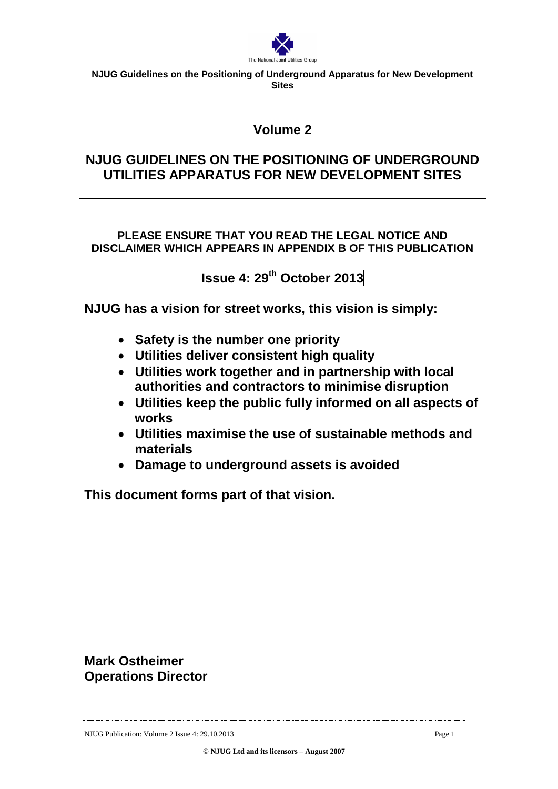

# **Volume 2**

# **NJUG GUIDELINES ON THE POSITIONING OF UNDERGROUND UTILITIES APPARATUS FOR NEW DEVELOPMENT SITES**

## **PLEASE ENSURE THAT YOU READ THE LEGAL NOTICE AND DISCLAIMER WHICH APPEARS IN APPENDIX B OF THIS PUBLICATION**

# **Issue 4: 29th October 2013**

**NJUG has a vision for street works, this vision is simply:**

- **Safety is the number one priority**
- **Utilities deliver consistent high quality**
- **Utilities work together and in partnership with local authorities and contractors to minimise disruption**
- **Utilities keep the public fully informed on all aspects of works**
- **Utilities maximise the use of sustainable methods and materials**
- **Damage to underground assets is avoided**

**This document forms part of that vision.** 

**Mark Ostheimer Operations Director**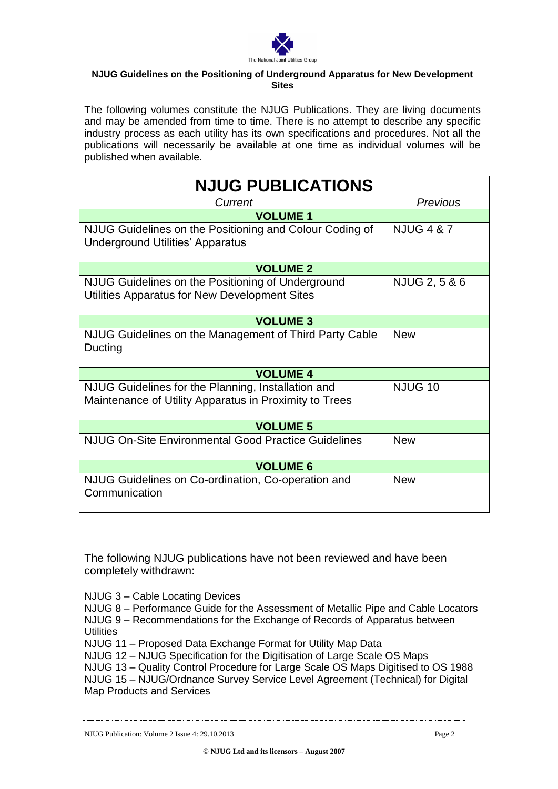

The following volumes constitute the NJUG Publications. They are living documents and may be amended from time to time. There is no attempt to describe any specific industry process as each utility has its own specifications and procedures. Not all the publications will necessarily be available at one time as individual volumes will be published when available.

| <b>NJUG PUBLICATIONS</b>                                                                                     |                       |  |  |  |
|--------------------------------------------------------------------------------------------------------------|-----------------------|--|--|--|
| Current                                                                                                      | Previous              |  |  |  |
| <b>VOLUME 1</b>                                                                                              |                       |  |  |  |
| NJUG Guidelines on the Positioning and Colour Coding of<br><b>Underground Utilities' Apparatus</b>           | <b>NJUG 4 &amp; 7</b> |  |  |  |
| <b>VOLUME 2</b>                                                                                              |                       |  |  |  |
| NJUG Guidelines on the Positioning of Underground<br>Utilities Apparatus for New Development Sites           | NJUG 2, 5 & 6         |  |  |  |
| <b>VOLUME 3</b>                                                                                              |                       |  |  |  |
| NJUG Guidelines on the Management of Third Party Cable<br>Ducting                                            | <b>New</b>            |  |  |  |
| <b>VOLUME 4</b>                                                                                              |                       |  |  |  |
| NJUG Guidelines for the Planning, Installation and<br>Maintenance of Utility Apparatus in Proximity to Trees | <b>NJUG 10</b>        |  |  |  |
| <b>VOLUME 5</b>                                                                                              |                       |  |  |  |
| <b>NJUG On-Site Environmental Good Practice Guidelines</b>                                                   | <b>New</b>            |  |  |  |
| <b>VOLUME 6</b>                                                                                              |                       |  |  |  |
| NJUG Guidelines on Co-ordination, Co-operation and<br>Communication                                          | <b>New</b>            |  |  |  |

The following NJUG publications have not been reviewed and have been completely withdrawn:

NJUG 3 – Cable Locating Devices

NJUG 8 – Performance Guide for the Assessment of Metallic Pipe and Cable Locators NJUG 9 – Recommendations for the Exchange of Records of Apparatus between **Utilities** 

NJUG 11 – Proposed Data Exchange Format for Utility Map Data

NJUG 12 – NJUG Specification for the Digitisation of Large Scale OS Maps

NJUG 13 – Quality Control Procedure for Large Scale OS Maps Digitised to OS 1988 NJUG 15 – NJUG/Ordnance Survey Service Level Agreement (Technical) for Digital Map Products and Services

**© NJUG Ltd and its licensors – August 2007**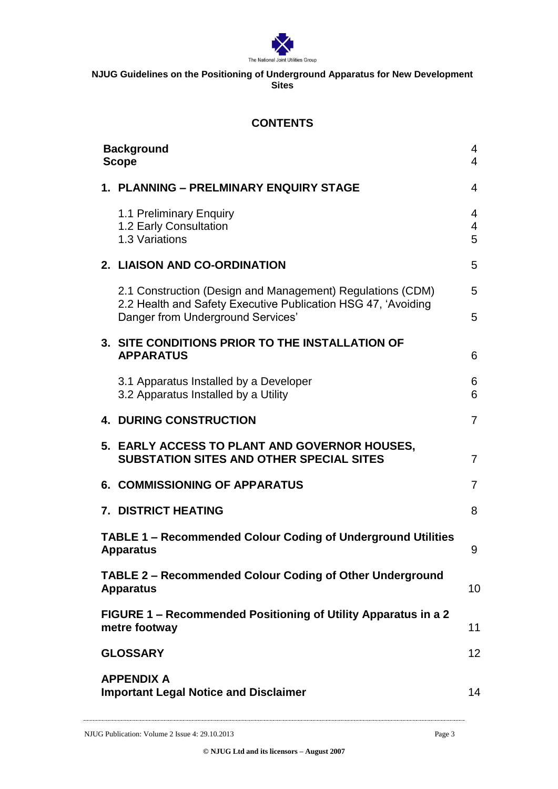

## **CONTENTS**

| 1. PLANNING – PRELMINARY ENQUIRY STAGE<br>4<br>1.1 Preliminary Enquiry<br>4<br>1.2 Early Consultation<br>4<br>1.3 Variations<br>5<br>2. LIAISON AND CO-ORDINATION<br>5<br>2.1 Construction (Design and Management) Regulations (CDM)<br>5<br>2.2 Health and Safety Executive Publication HSG 47, 'Avoiding<br>Danger from Underground Services'<br>5<br>3. SITE CONDITIONS PRIOR TO THE INSTALLATION OF<br><b>APPARATUS</b><br>6<br>3.1 Apparatus Installed by a Developer<br>6<br>6<br>3.2 Apparatus Installed by a Utility<br><b>4. DURING CONSTRUCTION</b><br>7<br>5. EARLY ACCESS TO PLANT AND GOVERNOR HOUSES,<br><b>SUBSTATION SITES AND OTHER SPECIAL SITES</b><br>7<br><b>6. COMMISSIONING OF APPARATUS</b><br>$\overline{7}$<br><b>7. DISTRICT HEATING</b><br>8<br><b>TABLE 1 - Recommended Colour Coding of Underground Utilities</b><br><b>Apparatus</b><br>9<br><b>TABLE 2 - Recommended Colour Coding of Other Underground</b><br>10 <sup>1</sup><br><b>Apparatus</b><br>FIGURE 1 - Recommended Positioning of Utility Apparatus in a 2<br>metre footway<br>11<br>12 <sup>2</sup><br><b>GLOSSARY</b><br><b>APPENDIX A</b><br><b>Important Legal Notice and Disclaimer</b><br>14 |  | <b>Background</b><br><b>Scope</b> | 4<br>4 |
|----------------------------------------------------------------------------------------------------------------------------------------------------------------------------------------------------------------------------------------------------------------------------------------------------------------------------------------------------------------------------------------------------------------------------------------------------------------------------------------------------------------------------------------------------------------------------------------------------------------------------------------------------------------------------------------------------------------------------------------------------------------------------------------------------------------------------------------------------------------------------------------------------------------------------------------------------------------------------------------------------------------------------------------------------------------------------------------------------------------------------------------------------------------------------------------------|--|-----------------------------------|--------|
|                                                                                                                                                                                                                                                                                                                                                                                                                                                                                                                                                                                                                                                                                                                                                                                                                                                                                                                                                                                                                                                                                                                                                                                              |  |                                   |        |
|                                                                                                                                                                                                                                                                                                                                                                                                                                                                                                                                                                                                                                                                                                                                                                                                                                                                                                                                                                                                                                                                                                                                                                                              |  |                                   |        |
|                                                                                                                                                                                                                                                                                                                                                                                                                                                                                                                                                                                                                                                                                                                                                                                                                                                                                                                                                                                                                                                                                                                                                                                              |  |                                   |        |
|                                                                                                                                                                                                                                                                                                                                                                                                                                                                                                                                                                                                                                                                                                                                                                                                                                                                                                                                                                                                                                                                                                                                                                                              |  |                                   |        |
|                                                                                                                                                                                                                                                                                                                                                                                                                                                                                                                                                                                                                                                                                                                                                                                                                                                                                                                                                                                                                                                                                                                                                                                              |  |                                   |        |
|                                                                                                                                                                                                                                                                                                                                                                                                                                                                                                                                                                                                                                                                                                                                                                                                                                                                                                                                                                                                                                                                                                                                                                                              |  |                                   |        |
|                                                                                                                                                                                                                                                                                                                                                                                                                                                                                                                                                                                                                                                                                                                                                                                                                                                                                                                                                                                                                                                                                                                                                                                              |  |                                   |        |
|                                                                                                                                                                                                                                                                                                                                                                                                                                                                                                                                                                                                                                                                                                                                                                                                                                                                                                                                                                                                                                                                                                                                                                                              |  |                                   |        |
|                                                                                                                                                                                                                                                                                                                                                                                                                                                                                                                                                                                                                                                                                                                                                                                                                                                                                                                                                                                                                                                                                                                                                                                              |  |                                   |        |
|                                                                                                                                                                                                                                                                                                                                                                                                                                                                                                                                                                                                                                                                                                                                                                                                                                                                                                                                                                                                                                                                                                                                                                                              |  |                                   |        |
|                                                                                                                                                                                                                                                                                                                                                                                                                                                                                                                                                                                                                                                                                                                                                                                                                                                                                                                                                                                                                                                                                                                                                                                              |  |                                   |        |
|                                                                                                                                                                                                                                                                                                                                                                                                                                                                                                                                                                                                                                                                                                                                                                                                                                                                                                                                                                                                                                                                                                                                                                                              |  |                                   |        |
|                                                                                                                                                                                                                                                                                                                                                                                                                                                                                                                                                                                                                                                                                                                                                                                                                                                                                                                                                                                                                                                                                                                                                                                              |  |                                   |        |
|                                                                                                                                                                                                                                                                                                                                                                                                                                                                                                                                                                                                                                                                                                                                                                                                                                                                                                                                                                                                                                                                                                                                                                                              |  |                                   |        |
|                                                                                                                                                                                                                                                                                                                                                                                                                                                                                                                                                                                                                                                                                                                                                                                                                                                                                                                                                                                                                                                                                                                                                                                              |  |                                   |        |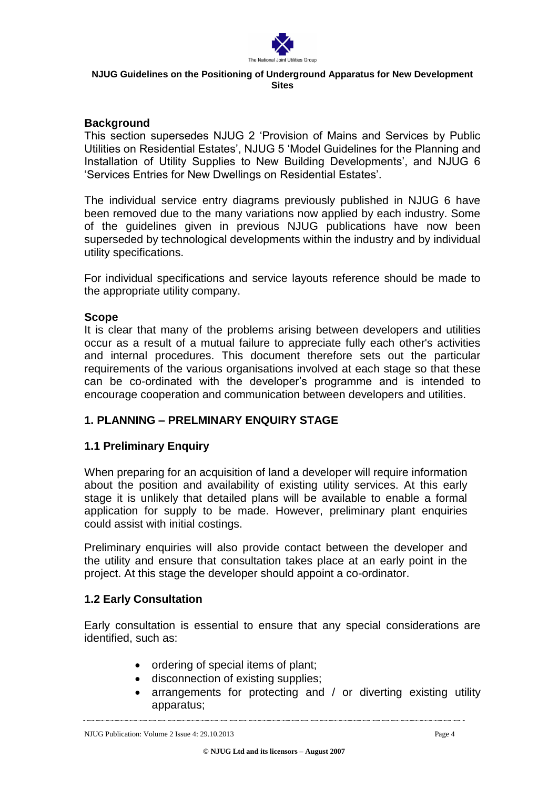

### **Background**

This section supersedes NJUG 2 'Provision of Mains and Services by Public Utilities on Residential Estates', NJUG 5 'Model Guidelines for the Planning and Installation of Utility Supplies to New Building Developments', and NJUG 6 'Services Entries for New Dwellings on Residential Estates'.

The individual service entry diagrams previously published in NJUG 6 have been removed due to the many variations now applied by each industry. Some of the guidelines given in previous NJUG publications have now been superseded by technological developments within the industry and by individual utility specifications.

For individual specifications and service layouts reference should be made to the appropriate utility company.

### **Scope**

It is clear that many of the problems arising between developers and utilities occur as a result of a mutual failure to appreciate fully each other's activities and internal procedures. This document therefore sets out the particular requirements of the various organisations involved at each stage so that these can be co-ordinated with the developer's programme and is intended to encourage cooperation and communication between developers and utilities.

## **1. PLANNING – PRELMINARY ENQUIRY STAGE**

### **1.1 Preliminary Enquiry**

When preparing for an acquisition of land a developer will require information about the position and availability of existing utility services. At this early stage it is unlikely that detailed plans will be available to enable a formal application for supply to be made. However, preliminary plant enquiries could assist with initial costings.

Preliminary enquiries will also provide contact between the developer and the utility and ensure that consultation takes place at an early point in the project. At this stage the developer should appoint a co-ordinator.

### **1.2 Early Consultation**

Early consultation is essential to ensure that any special considerations are identified, such as:

- ordering of special items of plant;
- disconnection of existing supplies;
- arrangements for protecting and / or diverting existing utility apparatus;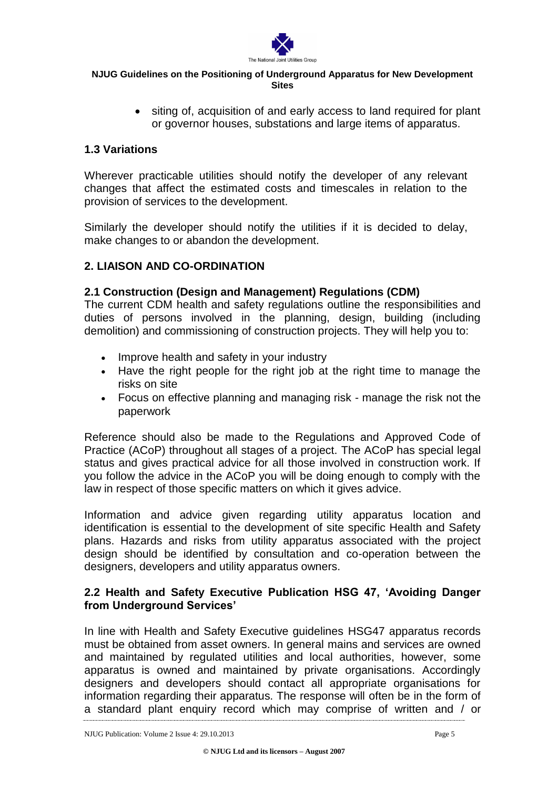

• siting of, acquisition of and early access to land required for plant or governor houses, substations and large items of apparatus.

## **1.3 Variations**

Wherever practicable utilities should notify the developer of any relevant changes that affect the estimated costs and timescales in relation to the provision of services to the development.

Similarly the developer should notify the utilities if it is decided to delay, make changes to or abandon the development.

## **2. LIAISON AND CO-ORDINATION**

## **2.1 Construction (Design and Management) Regulations (CDM)**

The current CDM health and safety regulations outline the responsibilities and duties of persons involved in the planning, design, building (including demolition) and commissioning of construction projects. They will help you to:

- Improve health and safety in your industry
- Have the right people for the right job at the right time to manage the risks on site
- Focus on effective planning and managing risk manage the risk not the paperwork

Reference should also be made to the Regulations and Approved Code of Practice (ACoP) throughout all stages of a project. The ACoP has special legal status and gives practical advice for all those involved in construction work. If you follow the advice in the ACoP you will be doing enough to comply with the law in respect of those specific matters on which it gives advice.

Information and advice given regarding utility apparatus location and identification is essential to the development of site specific Health and Safety plans. Hazards and risks from utility apparatus associated with the project design should be identified by consultation and co-operation between the designers, developers and utility apparatus owners.

## **2.2 Health and Safety Executive Publication HSG 47, 'Avoiding Danger from Underground Services'**

In line with Health and Safety Executive guidelines HSG47 apparatus records must be obtained from asset owners. In general mains and services are owned and maintained by regulated utilities and local authorities, however, some apparatus is owned and maintained by private organisations. Accordingly designers and developers should contact all appropriate organisations for information regarding their apparatus. The response will often be in the form of a standard plant enquiry record which may comprise of written and / or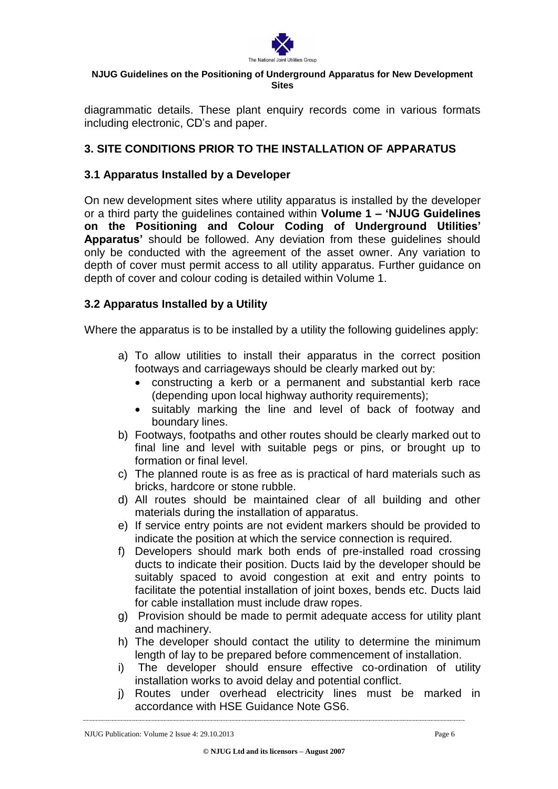

diagrammatic details. These plant enquiry records come in various formats including electronic, CD's and paper.

## **3. SITE CONDITIONS PRIOR TO THE INSTALLATION OF APPARATUS**

## **3.1 Apparatus Installed by a Developer**

On new development sites where utility apparatus is installed by the developer or a third party the guidelines contained within **Volume 1 – 'NJUG Guidelines on the Positioning and Colour Coding of Underground Utilities' Apparatus'** should be followed. Any deviation from these guidelines should only be conducted with the agreement of the asset owner. Any variation to depth of cover must permit access to all utility apparatus. Further guidance on depth of cover and colour coding is detailed within Volume 1.

## **3.2 Apparatus Installed by a Utility**

Where the apparatus is to be installed by a utility the following guidelines apply:

- a) To allow utilities to install their apparatus in the correct position footways and carriageways should be clearly marked out by:
	- constructing a kerb or a permanent and substantial kerb race (depending upon local highway authority requirements);
	- suitably marking the line and level of back of footway and boundary lines.
- b) Footways, footpaths and other routes should be clearly marked out to final line and level with suitable pegs or pins, or brought up to formation or final level.
- c) The planned route is as free as is practical of hard materials such as bricks, hardcore or stone rubble.
- d) All routes should be maintained clear of all building and other materials during the installation of apparatus.
- e) If service entry points are not evident markers should be provided to indicate the position at which the service connection is required.
- f) Developers should mark both ends of pre-installed road crossing ducts to indicate their position. Ducts Iaid by the developer should be suitably spaced to avoid congestion at exit and entry points to facilitate the potential installation of joint boxes, bends etc. Ducts laid for cable installation must include draw ropes.
- g) Provision should be made to permit adequate access for utility plant and machinery.
- h) The developer should contact the utility to determine the minimum length of lay to be prepared before commencement of installation.
- i) The developer should ensure effective co-ordination of utility installation works to avoid delay and potential conflict.
- j) Routes under overhead electricity lines must be marked in accordance with HSE Guidance Note GS6.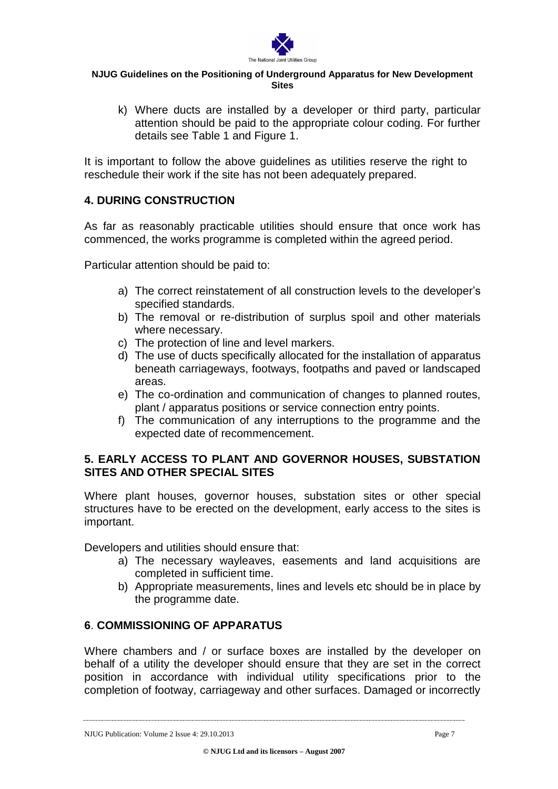

k) Where ducts are installed by a developer or third party, particular attention should be paid to the appropriate colour coding. For further details see Table 1 and Figure 1.

It is important to follow the above guidelines as utilities reserve the right to reschedule their work if the site has not been adequately prepared.

## **4. DURING CONSTRUCTION**

As far as reasonably practicable utilities should ensure that once work has commenced, the works programme is completed within the agreed period.

Particular attention should be paid to:

- a) The correct reinstatement of all construction levels to the developer's specified standards.
- b) The removal or re-distribution of surplus spoil and other materials where necessary.
- c) The protection of line and level markers.
- d) The use of ducts specifically allocated for the installation of apparatus beneath carriageways, footways, footpaths and paved or landscaped areas.
- e) The co-ordination and communication of changes to planned routes, plant / apparatus positions or service connection entry points.
- f) The communication of any interruptions to the programme and the expected date of recommencement.

## **5. EARLY ACCESS TO PLANT AND GOVERNOR HOUSES, SUBSTATION SITES AND OTHER SPECIAL SITES**

Where plant houses, governor houses, substation sites or other special structures have to be erected on the development, early access to the sites is important.

Developers and utilities should ensure that:

- a) The necessary wayleaves, easements and land acquisitions are completed in sufficient time.
- b) Appropriate measurements, lines and levels etc should be in place by the programme date.

## **6**. **COMMISSIONING OF APPARATUS**

Where chambers and / or surface boxes are installed by the developer on behalf of a utility the developer should ensure that they are set in the correct position in accordance with individual utility specifications prior to the completion of footway, carriageway and other surfaces. Damaged or incorrectly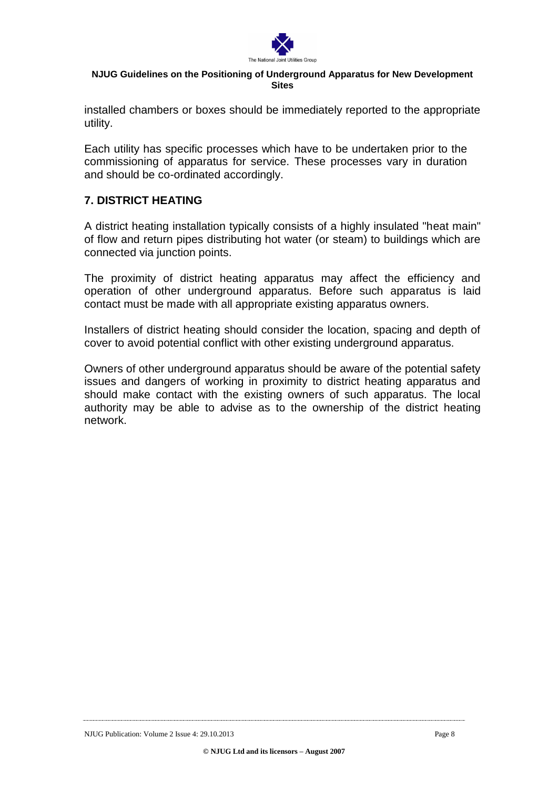

installed chambers or boxes should be immediately reported to the appropriate utility.

Each utility has specific processes which have to be undertaken prior to the commissioning of apparatus for service. These processes vary in duration and should be co-ordinated accordingly.

## **7. DISTRICT HEATING**

A district heating installation typically consists of a highly insulated "heat main" of flow and return pipes distributing hot water (or steam) to buildings which are connected via junction points.

The proximity of district heating apparatus may affect the efficiency and operation of other underground apparatus. Before such apparatus is laid contact must be made with all appropriate existing apparatus owners.

Installers of district heating should consider the location, spacing and depth of cover to avoid potential conflict with other existing underground apparatus.

Owners of other underground apparatus should be aware of the potential safety issues and dangers of working in proximity to district heating apparatus and should make contact with the existing owners of such apparatus. The local authority may be able to advise as to the ownership of the district heating network.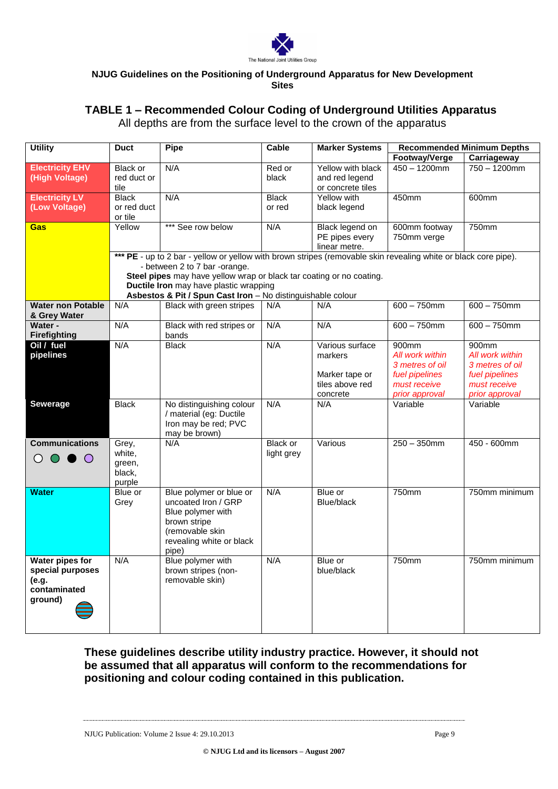

# **TABLE 1 – Recommended Colour Coding of Underground Utilities Apparatus**

All depths are from the surface level to the crown of the apparatus

| <b>Utility</b><br>Pipe<br><b>Marker Systems</b><br><b>Duct</b><br>Cable                                         | <b>Recommended Minimum Depths</b> |                 |
|-----------------------------------------------------------------------------------------------------------------|-----------------------------------|-----------------|
|                                                                                                                 | Footway/Verge                     | Carriageway     |
| <b>Electricity EHV</b><br>N/A<br>Red or<br>Yellow with black<br>Black or                                        | $450 - 1200$ mm                   | $750 - 1200$ mm |
| (High Voltage)<br>red duct or<br>black<br>and red legend                                                        |                                   |                 |
| tile<br>or concrete tiles                                                                                       |                                   |                 |
| <b>Electricity LV</b><br>N/A<br>Yellow with<br><b>Black</b><br><b>Black</b>                                     | 450mm                             | 600mm           |
| (Low Voltage)<br>or red duct<br>black legend<br>or red                                                          |                                   |                 |
| or tile                                                                                                         |                                   |                 |
| Yellow<br>*** See row below<br>N/A<br>Gas<br>Black legend on                                                    | 600mm footway                     | 750mm           |
| PE pipes every                                                                                                  | 750mm verge                       |                 |
| linear metre.                                                                                                   |                                   |                 |
| *** PE - up to 2 bar - yellow or yellow with brown stripes (removable skin revealing white or black core pipe). |                                   |                 |
| - between 2 to 7 bar -orange.                                                                                   |                                   |                 |
| Steel pipes may have yellow wrap or black tar coating or no coating.                                            |                                   |                 |
| Ductile Iron may have plastic wrapping                                                                          |                                   |                 |
| Asbestos & Pit / Spun Cast Iron - No distinguishable colour                                                     |                                   |                 |
| <b>Water non Potable</b><br>N/A<br>Black with green stripes<br>N/A<br>N/A                                       | $600 - 750$ mm                    | $600 - 750$ mm  |
| & Grey Water                                                                                                    |                                   |                 |
| Water -<br>N/A<br>N/A<br>N/A<br>Black with red stripes or<br><b>Firefighting</b><br>bands                       | $600 - 750$ mm                    | $600 - 750$ mm  |
| Oil / fuel<br>N/A<br>N/A<br><b>Black</b><br>Various surface                                                     | 900mm                             | 900mm           |
| pipelines<br>markers                                                                                            | All work within                   | All work within |
|                                                                                                                 | 3 metres of oil                   | 3 metres of oil |
| Marker tape or                                                                                                  | fuel pipelines                    | fuel pipelines  |
| tiles above red                                                                                                 | must receive                      | must receive    |
| concrete                                                                                                        | prior approval                    | prior approval  |
| N/A<br>Sewerage<br><b>Black</b><br>No distinguishing colour<br>N/A                                              | Variable                          | Variable        |
| / material (eg: Ductile                                                                                         |                                   |                 |
| Iron may be red; PVC                                                                                            |                                   |                 |
| may be brown)                                                                                                   |                                   |                 |
| <b>Communications</b><br>Various<br>Grey,<br>N/A<br>Black or                                                    | $250 - 350$ mm                    | 450 - 600mm     |
| white.<br>light grey                                                                                            |                                   |                 |
| $\bigcirc$ $\bigcirc$ $\bigcirc$<br>green,                                                                      |                                   |                 |
| black,                                                                                                          |                                   |                 |
| purple                                                                                                          |                                   |                 |
| Blue polymer or blue or<br>N/A<br>Blue or<br><b>Water</b><br>Blue or                                            | 750mm                             | 750mm minimum   |
| uncoated Iron / GRP<br>Blue/black<br>Grey                                                                       |                                   |                 |
| Blue polymer with                                                                                               |                                   |                 |
| brown stripe                                                                                                    |                                   |                 |
| (removable skin                                                                                                 |                                   |                 |
| revealing white or black                                                                                        |                                   |                 |
| pipe)                                                                                                           |                                   |                 |
| <b>Water pipes for</b><br>Blue polymer with<br>N/A<br>N/A<br>Blue or                                            | 750mm                             | 750mm minimum   |
| brown stripes (non-<br>special purposes<br>blue/black                                                           |                                   |                 |
| (e.g.<br>removable skin)                                                                                        |                                   |                 |
| contaminated                                                                                                    |                                   |                 |
| ground)                                                                                                         |                                   |                 |
|                                                                                                                 |                                   |                 |
|                                                                                                                 |                                   |                 |

## **These guidelines describe utility industry practice. However, it should not be assumed that all apparatus will conform to the recommendations for positioning and colour coding contained in this publication.**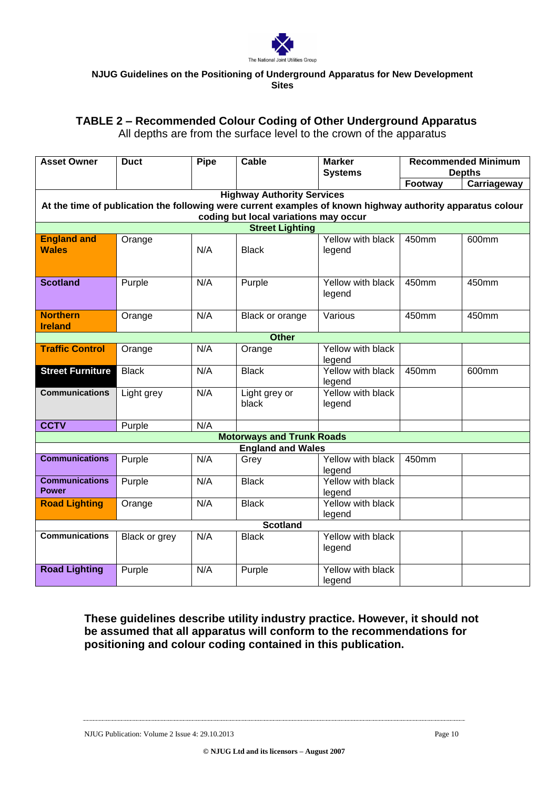

## **TABLE 2 – Recommended Colour Coding of Other Underground Apparatus**

All depths are from the surface level to the crown of the apparatus

| <b>Asset Owner</b>      | <b>Duct</b>   | <b>Pipe</b> | Cable                                 | <b>Marker</b>                                                                                              | <b>Recommended Minimum</b><br><b>Depths</b> |             |
|-------------------------|---------------|-------------|---------------------------------------|------------------------------------------------------------------------------------------------------------|---------------------------------------------|-------------|
|                         |               |             |                                       | <b>Systems</b>                                                                                             | Footway                                     |             |
|                         |               |             | <b>Highway Authority Services</b>     |                                                                                                            |                                             | Carriageway |
|                         |               |             |                                       | At the time of publication the following were current examples of known highway authority apparatus colour |                                             |             |
|                         |               |             | coding but local variations may occur |                                                                                                            |                                             |             |
|                         |               |             | <b>Street Lighting</b>                |                                                                                                            |                                             |             |
| <b>England and</b>      | Orange        |             |                                       | Yellow with black                                                                                          | 450mm                                       | 600mm       |
| <b>Wales</b>            |               | N/A         | <b>Black</b>                          | legend                                                                                                     |                                             |             |
|                         |               |             |                                       |                                                                                                            |                                             |             |
|                         |               |             |                                       |                                                                                                            |                                             |             |
| <b>Scotland</b>         | Purple        | N/A         | Purple                                | Yellow with black                                                                                          | 450mm                                       | 450mm       |
|                         |               |             |                                       | legend                                                                                                     |                                             |             |
| <b>Northern</b>         | Orange        | N/A         | Black or orange                       | Various                                                                                                    | 450mm                                       | 450mm       |
| <b>Ireland</b>          |               |             |                                       |                                                                                                            |                                             |             |
|                         |               |             | <b>Other</b>                          |                                                                                                            |                                             |             |
| <b>Traffic Control</b>  | Orange        | N/A         | Orange                                | Yellow with black                                                                                          |                                             |             |
|                         |               |             |                                       | legend                                                                                                     |                                             |             |
| <b>Street Furniture</b> | <b>Black</b>  | N/A         | <b>Black</b>                          | Yellow with black                                                                                          | 450mm                                       | 600mm       |
|                         |               |             |                                       | legend                                                                                                     |                                             |             |
| <b>Communications</b>   | Light grey    | N/A         | Light grey or                         | Yellow with black                                                                                          |                                             |             |
|                         |               |             | black                                 | legend                                                                                                     |                                             |             |
| <b>CCTV</b>             | Purple        | N/A         |                                       |                                                                                                            |                                             |             |
|                         |               |             | <b>Motorways and Trunk Roads</b>      |                                                                                                            |                                             |             |
|                         |               |             | <b>England and Wales</b>              |                                                                                                            |                                             |             |
| <b>Communications</b>   | Purple        | N/A         | Grey                                  | Yellow with black                                                                                          | 450mm                                       |             |
|                         |               |             |                                       | legend                                                                                                     |                                             |             |
| <b>Communications</b>   | Purple        | N/A         | <b>Black</b>                          | Yellow with black                                                                                          |                                             |             |
| <b>Power</b>            |               |             |                                       | legend                                                                                                     |                                             |             |
| <b>Road Lighting</b>    | Orange        | N/A         | <b>Black</b>                          | Yellow with black                                                                                          |                                             |             |
|                         |               |             |                                       | legend                                                                                                     |                                             |             |
| <b>Scotland</b>         |               |             |                                       |                                                                                                            |                                             |             |
| <b>Communications</b>   | Black or grey | N/A         | <b>Black</b>                          | Yellow with black                                                                                          |                                             |             |
|                         |               |             |                                       | legend                                                                                                     |                                             |             |
| <b>Road Lighting</b>    | Purple        | N/A         | Purple                                | Yellow with black                                                                                          |                                             |             |
|                         |               |             |                                       | legend                                                                                                     |                                             |             |

**These guidelines describe utility industry practice. However, it should not be assumed that all apparatus will conform to the recommendations for positioning and colour coding contained in this publication.**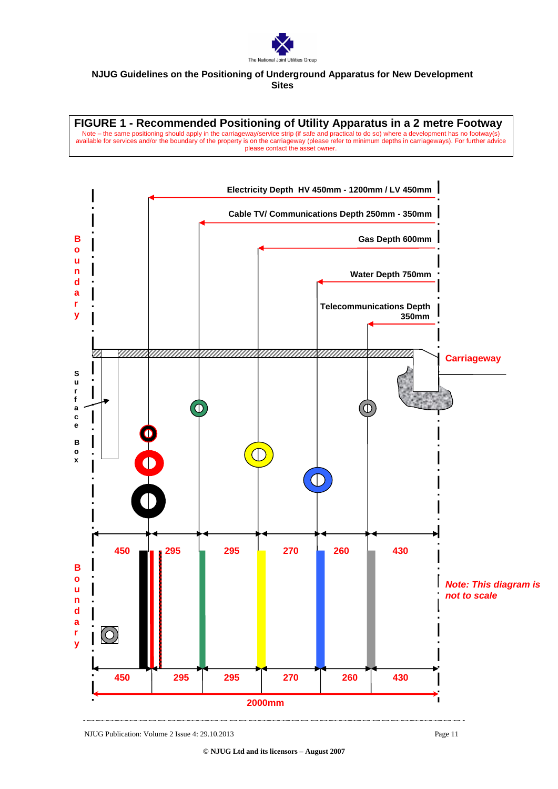

**FIGURE 1 - Recommended Positioning of Utility Apparatus in a 2 metre Footway** Note – the same positioning should apply in the carriageway/service strip (if safe and practical to do so) where a development has no footway(s) available for services and/or the boundary of the property is on the carriageway (please refer to minimum depths in carriageways). For further advice please contact the asset owner.

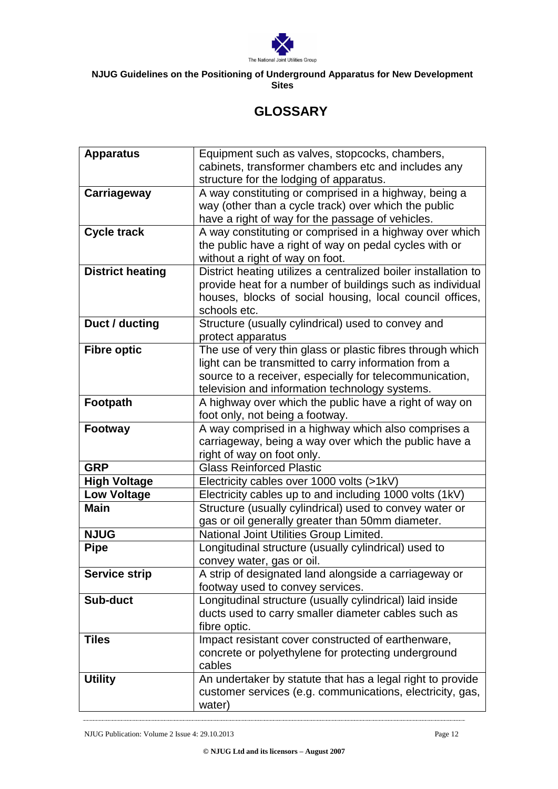

# **GLOSSARY**

| <b>Apparatus</b>                  | Equipment such as valves, stopcocks, chambers,                                    |
|-----------------------------------|-----------------------------------------------------------------------------------|
|                                   | cabinets, transformer chambers etc and includes any                               |
|                                   | structure for the lodging of apparatus.                                           |
| Carriageway                       | A way constituting or comprised in a highway, being a                             |
|                                   | way (other than a cycle track) over which the public                              |
|                                   | have a right of way for the passage of vehicles.                                  |
| <b>Cycle track</b>                | A way constituting or comprised in a highway over which                           |
|                                   | the public have a right of way on pedal cycles with or                            |
|                                   | without a right of way on foot.                                                   |
| <b>District heating</b>           | District heating utilizes a centralized boiler installation to                    |
|                                   | provide heat for a number of buildings such as individual                         |
|                                   | houses, blocks of social housing, local council offices,                          |
|                                   | schools etc.                                                                      |
| Duct / ducting                    | Structure (usually cylindrical) used to convey and                                |
|                                   | protect apparatus                                                                 |
| <b>Fibre optic</b>                | The use of very thin glass or plastic fibres through which                        |
|                                   | light can be transmitted to carry information from a                              |
|                                   | source to a receiver, especially for telecommunication,                           |
|                                   | television and information technology systems.                                    |
| Footpath                          | A highway over which the public have a right of way on                            |
|                                   | foot only, not being a footway.                                                   |
| Footway                           | A way comprised in a highway which also comprises a                               |
|                                   | carriageway, being a way over which the public have a                             |
|                                   | right of way on foot only.                                                        |
| <b>GRP</b>                        | <b>Glass Reinforced Plastic</b>                                                   |
| <b>High Voltage</b>               | Electricity cables over 1000 volts (>1kV)                                         |
| <b>Low Voltage</b><br><b>Main</b> | Electricity cables up to and including 1000 volts (1kV)                           |
|                                   | Structure (usually cylindrical) used to convey water or                           |
| <b>NJUG</b>                       | gas or oil generally greater than 50mm diameter.                                  |
| <b>Pipe</b>                       | National Joint Utilities Group Limited.                                           |
|                                   | Longitudinal structure (usually cylindrical) used to<br>convey water, gas or oil. |
| <b>Service strip</b>              | A strip of designated land alongside a carriageway or                             |
|                                   | footway used to convey services.                                                  |
| <b>Sub-duct</b>                   | Longitudinal structure (usually cylindrical) laid inside                          |
|                                   | ducts used to carry smaller diameter cables such as                               |
|                                   | fibre optic.                                                                      |
| <b>Tiles</b>                      | Impact resistant cover constructed of earthenware,                                |
|                                   | concrete or polyethylene for protecting underground                               |
|                                   | cables                                                                            |
| <b>Utility</b>                    | An undertaker by statute that has a legal right to provide                        |
|                                   | customer services (e.g. communications, electricity, gas,                         |
|                                   | water)                                                                            |
|                                   |                                                                                   |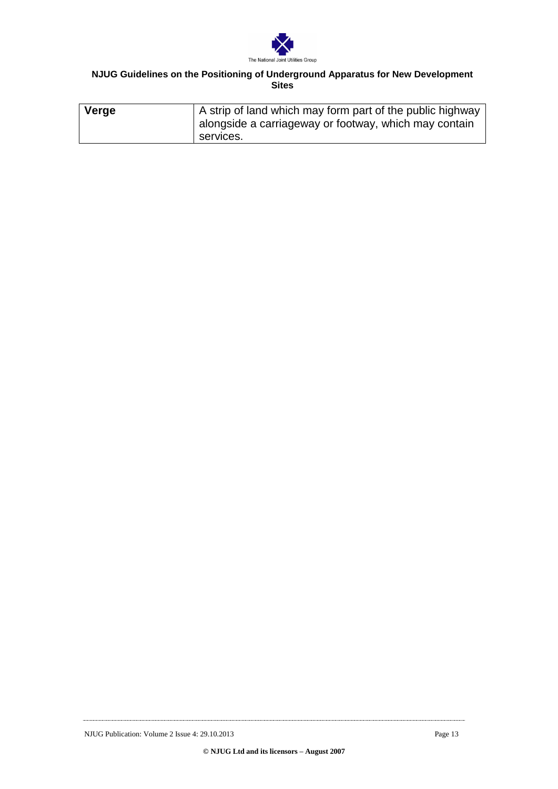

| Verge | A strip of land which may form part of the public highway<br>alongside a carriageway or footway, which may contain |
|-------|--------------------------------------------------------------------------------------------------------------------|
|       | services.                                                                                                          |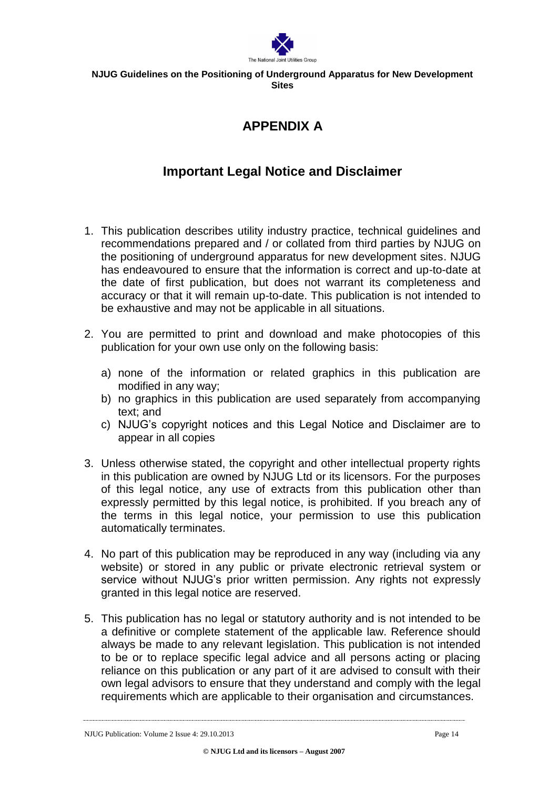

# **APPENDIX A**

# **Important Legal Notice and Disclaimer**

- 1. This publication describes utility industry practice, technical guidelines and recommendations prepared and / or collated from third parties by NJUG on the positioning of underground apparatus for new development sites. NJUG has endeavoured to ensure that the information is correct and up-to-date at the date of first publication, but does not warrant its completeness and accuracy or that it will remain up-to-date. This publication is not intended to be exhaustive and may not be applicable in all situations.
- 2. You are permitted to print and download and make photocopies of this publication for your own use only on the following basis:
	- a) none of the information or related graphics in this publication are modified in any way;
	- b) no graphics in this publication are used separately from accompanying text; and
	- c) NJUG's copyright notices and this Legal Notice and Disclaimer are to appear in all copies
- 3. Unless otherwise stated, the copyright and other intellectual property rights in this publication are owned by NJUG Ltd or its licensors. For the purposes of this legal notice, any use of extracts from this publication other than expressly permitted by this legal notice, is prohibited. If you breach any of the terms in this legal notice, your permission to use this publication automatically terminates.
- 4. No part of this publication may be reproduced in any way (including via any website) or stored in any public or private electronic retrieval system or service without NJUG's prior written permission. Any rights not expressly granted in this legal notice are reserved.
- 5. This publication has no legal or statutory authority and is not intended to be a definitive or complete statement of the applicable law. Reference should always be made to any relevant legislation. This publication is not intended to be or to replace specific legal advice and all persons acting or placing reliance on this publication or any part of it are advised to consult with their own legal advisors to ensure that they understand and comply with the legal requirements which are applicable to their organisation and circumstances.